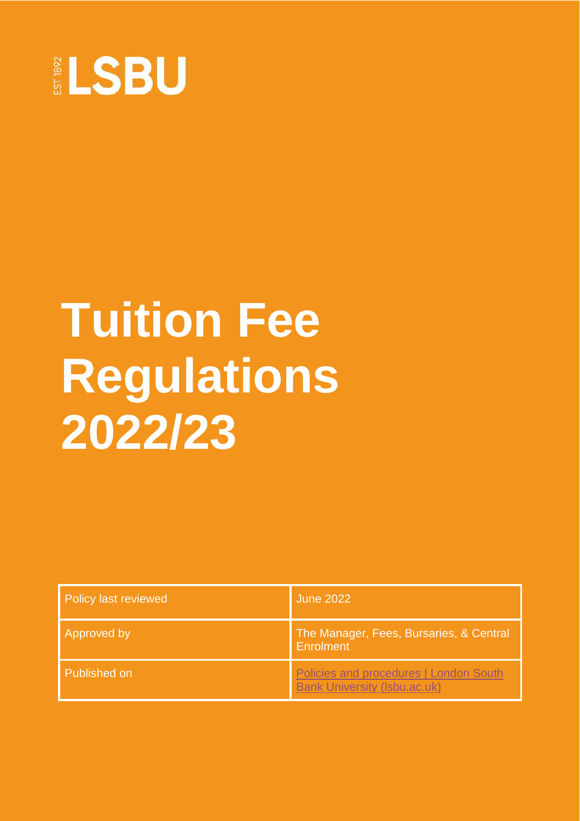

# **Tuition Fee Regulations 2022/23**

| Policy last reviewed | <b>June 2022</b>                                                              |
|----------------------|-------------------------------------------------------------------------------|
| Approved by          | The Manager, Fees, Bursaries, & Central<br>Enrolment                          |
| Published on         | Policies and procedures   London South<br><b>Bank University (Isbu.ac.uk)</b> |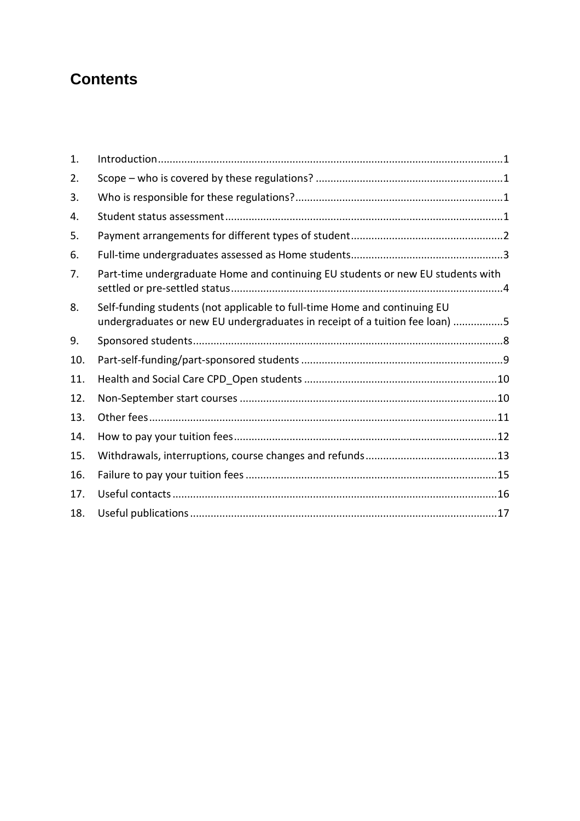### **Contents**

| 1.  |                                                                                                                                                          |
|-----|----------------------------------------------------------------------------------------------------------------------------------------------------------|
| 2.  |                                                                                                                                                          |
| 3.  |                                                                                                                                                          |
| 4.  |                                                                                                                                                          |
| 5.  |                                                                                                                                                          |
| 6.  |                                                                                                                                                          |
| 7.  | Part-time undergraduate Home and continuing EU students or new EU students with                                                                          |
| 8.  | Self-funding students (not applicable to full-time Home and continuing EU<br>undergraduates or new EU undergraduates in receipt of a tuition fee loan) 5 |
| 9.  |                                                                                                                                                          |
| 10. |                                                                                                                                                          |
| 11. |                                                                                                                                                          |
| 12. |                                                                                                                                                          |
| 13. |                                                                                                                                                          |
| 14. |                                                                                                                                                          |
| 15. |                                                                                                                                                          |
| 16. |                                                                                                                                                          |
| 17. |                                                                                                                                                          |
| 18. |                                                                                                                                                          |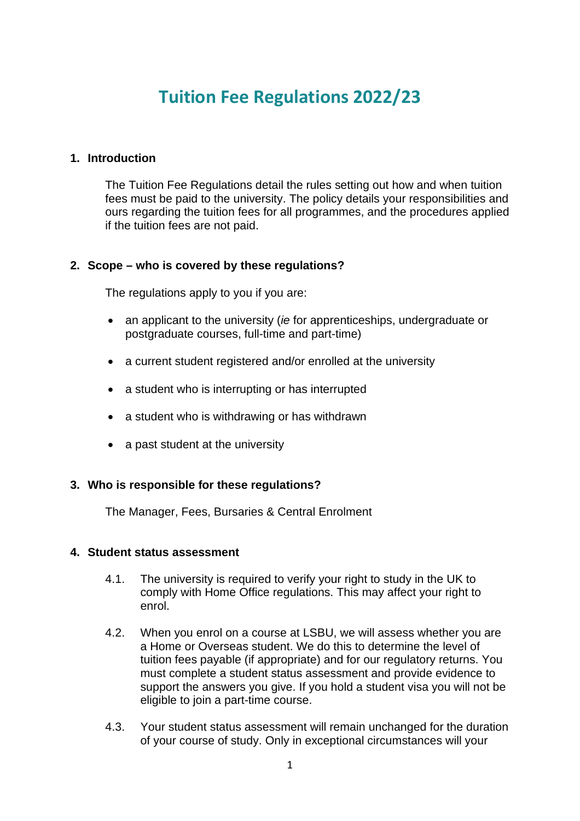## **Tuition Fee Regulations 2022/23**

#### <span id="page-2-0"></span>**1. Introduction**

The Tuition Fee Regulations detail the rules setting out how and when tuition fees must be paid to the university. The policy details your responsibilities and ours regarding the tuition fees for all programmes, and the procedures applied if the tuition fees are not paid.

#### <span id="page-2-1"></span>**2. Scope – who is covered by these regulations?**

The regulations apply to you if you are:

- an applicant to the university (*ie* for apprenticeships, undergraduate or postgraduate courses, full-time and part-time)
- a current student registered and/or enrolled at the university
- a student who is interrupting or has interrupted
- a student who is withdrawing or has withdrawn
- a past student at the university

#### <span id="page-2-2"></span>**3. Who is responsible for these regulations?**

The Manager, Fees, Bursaries & Central Enrolment

#### <span id="page-2-3"></span>**4. Student status assessment**

- 4.1. The university is required to verify your right to study in the UK to comply with Home Office regulations. This may affect your right to enrol.
- 4.2. When you enrol on a course at LSBU, we will assess whether you are a Home or Overseas student. We do this to determine the level of tuition fees payable (if appropriate) and for our regulatory returns. You must complete a student status assessment and provide evidence to support the answers you give. If you hold a student visa you will not be eligible to join a part-time course.
- 4.3. Your student status assessment will remain unchanged for the duration of your course of study. Only in exceptional circumstances will your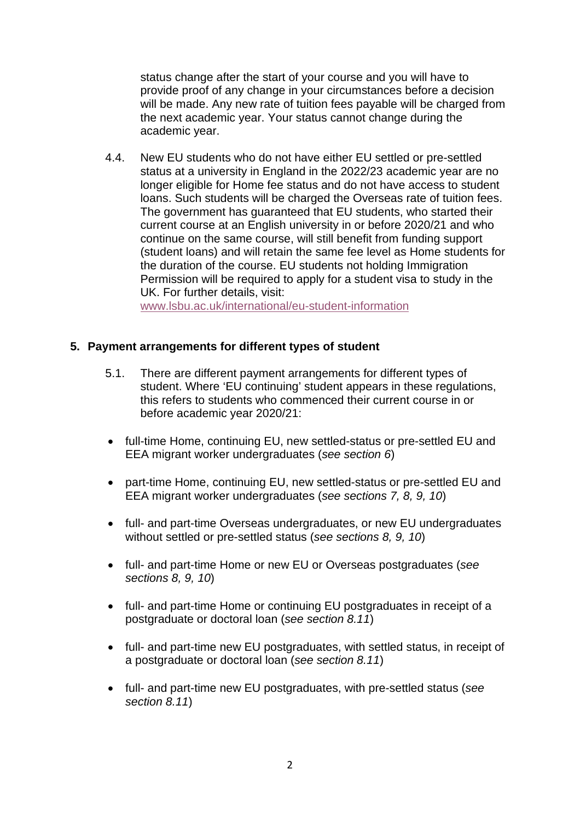status change after the start of your course and you will have to provide proof of any change in your circumstances before a decision will be made. Any new rate of tuition fees payable will be charged from the next academic year. Your status cannot change during the academic year.

4.4. New EU students who do not have either EU settled or pre-settled status at a university in England in the 2022/23 academic year are no longer eligible for Home fee status and do not have access to student loans. Such students will be charged the Overseas rate of tuition fees. The government has guaranteed that EU students, who started their current course at an English university in or before 2020/21 and who continue on the same course, will still benefit from funding support (student loans) and will retain the same fee level as Home students for the duration of the course. EU students not holding Immigration Permission will be required to apply for a student visa to study in the UK. For further details, visit:

[www.lsbu.ac.uk/international/eu-student-information](http://www.lsbu.ac.uk/international/eu-student-information)

#### <span id="page-3-0"></span>**5. Payment arrangements for different types of student**

- 5.1. There are different payment arrangements for different types of student. Where 'EU continuing' student appears in these regulations, this refers to students who commenced their current course in or before academic year 2020/21:
- full-time Home, continuing EU, new settled-status or pre-settled EU and EEA migrant worker undergraduates (*see section 6*)
- part-time Home, continuing EU, new settled-status or pre-settled EU and EEA migrant worker undergraduates (*see sections 7, 8, 9, 10*)
- full- and part-time Overseas undergraduates, or new EU undergraduates without settled or pre-settled status (*see sections 8, 9, 10*)
- full- and part-time Home or new EU or Overseas postgraduates (*see sections 8, 9, 10*)
- full- and part-time Home or continuing EU postgraduates in receipt of a postgraduate or doctoral loan (*see section 8.11*)
- full- and part-time new EU postgraduates, with settled status, in receipt of a postgraduate or doctoral loan (*see section 8.11*)
- full- and part-time new EU postgraduates, with pre-settled status (*see section 8.11*)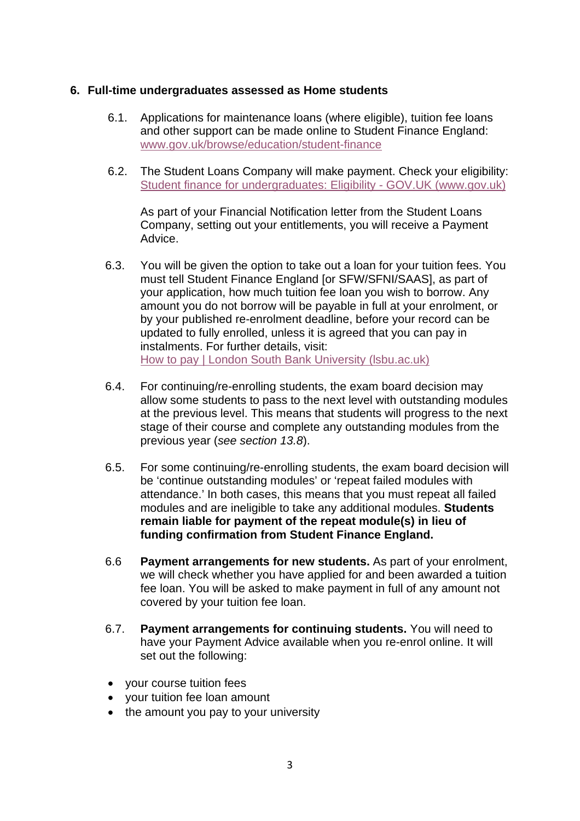#### <span id="page-4-0"></span>**6. Full-time undergraduates assessed as Home students**

- 6.1. Applications for maintenance loans (where eligible), tuition fee loans and other support can be made online to Student Finance England: [www.gov.uk/browse/education/student-finance](http://www.gov.uk/browse/education/student-finance)
- 6.2. The Student Loans Company will make payment. Check your eligibility: [Student finance for undergraduates: Eligibility -](https://www.gov.uk/student-finance/who-qualifies) GOV.UK (www.gov.uk)

As part of your Financial Notification letter from the Student Loans Company, setting out your entitlements, you will receive a Payment Advice.

- 6.3. You will be given the option to take out a loan for your tuition fees. You must tell Student Finance England [or SFW/SFNI/SAAS], as part of your application, how much tuition fee loan you wish to borrow. Any amount you do not borrow will be payable in full at your enrolment, or by your published re-enrolment deadline, before your record can be updated to fully enrolled, unless it is agreed that you can pay in instalments. For further details, visit: [How to pay | London South Bank](https://www.lsbu.ac.uk/study/undergraduate/fees-and-funding/how-to-pay) University (lsbu.ac.uk)
- 6.4. For continuing/re-enrolling students, the exam board decision may allow some students to pass to the next level with outstanding modules at the previous level. This means that students will progress to the next stage of their course and complete any outstanding modules from the previous year (*see section 13.8*).
- 6.5. For some continuing/re-enrolling students, the exam board decision will be 'continue outstanding modules' or 'repeat failed modules with attendance.' In both cases, this means that you must repeat all failed modules and are ineligible to take any additional modules. **Students remain liable for payment of the repeat module(s) in lieu of funding confirmation from Student Finance England.**
- 6.6 **Payment arrangements for new students.** As part of your enrolment, we will check whether you have applied for and been awarded a tuition fee loan. You will be asked to make payment in full of any amount not covered by your tuition fee loan.
- 6.7. **Payment arrangements for continuing students.** You will need to have your Payment Advice available when you re-enrol online. It will set out the following:
- your course tuition fees
- your tuition fee loan amount
- the amount you pay to your university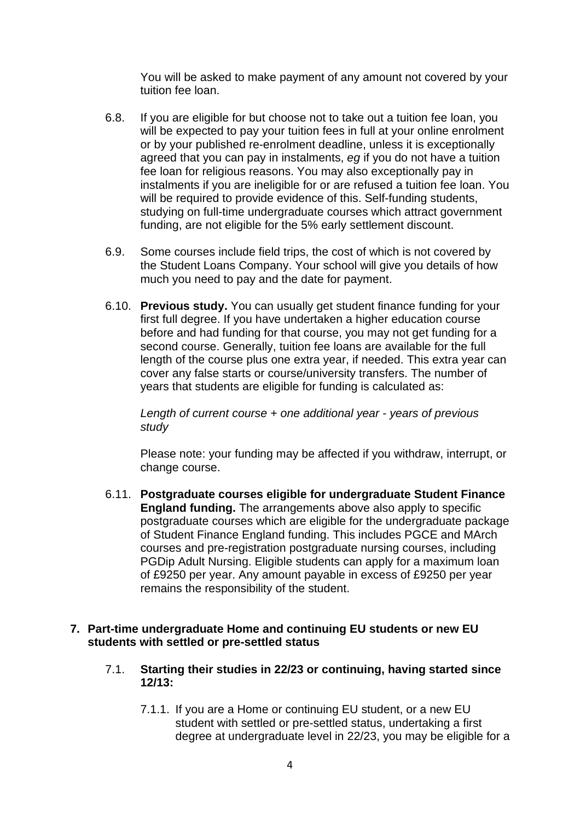You will be asked to make payment of any amount not covered by your tuition fee loan.

- 6.8. If you are eligible for but choose not to take out a tuition fee loan, you will be expected to pay your tuition fees in full at your online enrolment or by your published re-enrolment deadline, unless it is exceptionally agreed that you can pay in instalments, *eg* if you do not have a tuition fee loan for religious reasons. You may also exceptionally pay in instalments if you are ineligible for or are refused a tuition fee loan. You will be required to provide evidence of this. Self-funding students, studying on full-time undergraduate courses which attract government funding, are not eligible for the 5% early settlement discount.
- 6.9. Some courses include field trips, the cost of which is not covered by the Student Loans Company. Your school will give you details of how much you need to pay and the date for payment.
- 6.10. **Previous study.** You can usually get student finance funding for your first full degree. If you have undertaken a higher education course before and had funding for that course, you may not get funding for a second course. Generally, tuition fee loans are available for the full length of the course plus one extra year, if needed. This extra year can cover any false starts or course/university transfers. The number of years that students are eligible for funding is calculated as:

*Length of current course + one additional year - years of previous study*

Please note: your funding may be affected if you withdraw, interrupt, or change course.

6.11. **Postgraduate courses eligible for undergraduate Student Finance England funding.** The arrangements above also apply to specific postgraduate courses which are eligible for the undergraduate package of Student Finance England funding. This includes PGCE and MArch courses and pre-registration postgraduate nursing courses, including PGDip Adult Nursing. Eligible students can apply for a maximum loan of £9250 per year. Any amount payable in excess of £9250 per year remains the responsibility of the student.

#### <span id="page-5-0"></span>**7. Part-time undergraduate Home and continuing EU students or new EU students with settled or pre-settled status**

- 7.1. **Starting their studies in 22/23 or continuing, having started since 12/13:**
	- 7.1.1. If you are a Home or continuing EU student, or a new EU student with settled or pre-settled status, undertaking a first degree at undergraduate level in 22/23, you may be eligible for a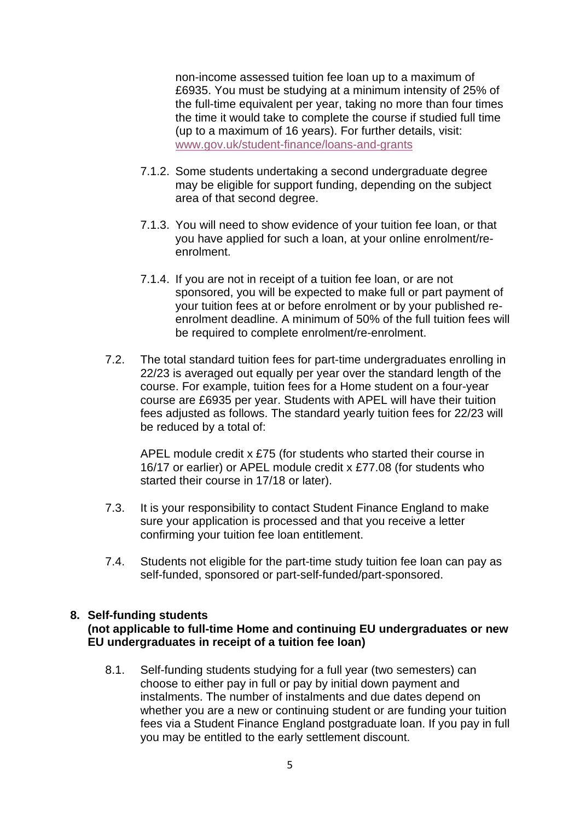non-income assessed tuition fee loan up to a maximum of £6935. You must be studying at a minimum intensity of 25% of the full-time equivalent per year, taking no more than four times the time it would take to complete the course if studied full time (up to a maximum of 16 years). For further details, visit: [www.gov.uk/student-finance/loans-and-grants](http://www.gov.uk/student-finance/loans-and-grants)

- 7.1.2. Some students undertaking a second undergraduate degree may be eligible for support funding, depending on the subject area of that second degree.
- 7.1.3. You will need to show evidence of your tuition fee loan, or that you have applied for such a loan, at your online enrolment/reenrolment.
- 7.1.4. If you are not in receipt of a tuition fee loan, or are not sponsored, you will be expected to make full or part payment of your tuition fees at or before enrolment or by your published reenrolment deadline. A minimum of 50% of the full tuition fees will be required to complete enrolment/re-enrolment.
- 7.2. The total standard tuition fees for part-time undergraduates enrolling in 22/23 is averaged out equally per year over the standard length of the course. For example, tuition fees for a Home student on a four-year course are £6935 per year. Students with APEL will have their tuition fees adjusted as follows. The standard yearly tuition fees for 22/23 will be reduced by a total of:

APEL module credit x £75 (for students who started their course in 16/17 or earlier) or APEL module credit x £77.08 (for students who started their course in 17/18 or later).

- 7.3. It is your responsibility to contact Student Finance England to make sure your application is processed and that you receive a letter confirming your tuition fee loan entitlement.
- 7.4. Students not eligible for the part-time study tuition fee loan can pay as self-funded, sponsored or part-self-funded/part-sponsored.

#### <span id="page-6-0"></span>**8. Self-funding students**

#### **(not applicable to full-time Home and continuing EU undergraduates or new EU undergraduates in receipt of a tuition fee loan)**

8.1. Self-funding students studying for a full year (two semesters) can choose to either pay in full or pay by initial down payment and instalments. The number of instalments and due dates depend on whether you are a new or continuing student or are funding your tuition fees via a Student Finance England postgraduate loan. If you pay in full you may be entitled to the early settlement discount.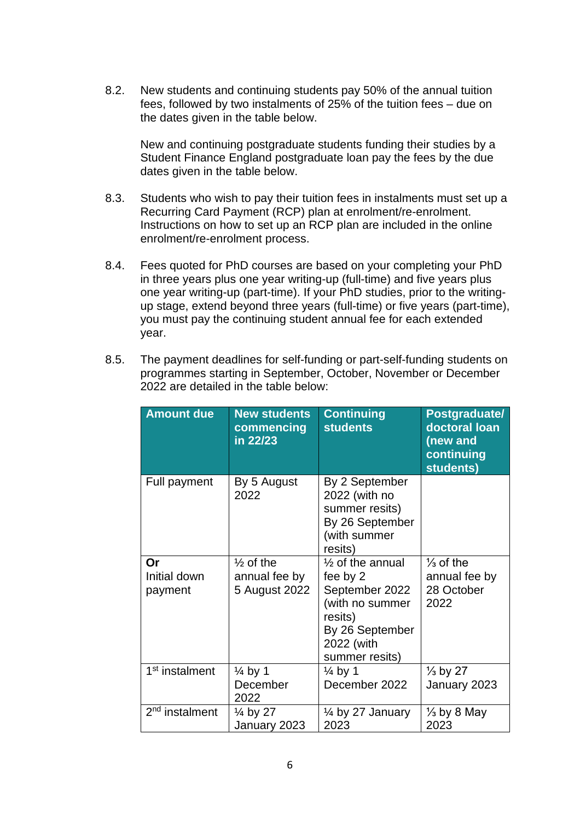8.2. New students and continuing students pay 50% of the annual tuition fees, followed by two instalments of 25% of the tuition fees – due on the dates given in the table below.

New and continuing postgraduate students funding their studies by a Student Finance England postgraduate loan pay the fees by the due dates given in the table below.

- 8.3. Students who wish to pay their tuition fees in instalments must set up a Recurring Card Payment (RCP) plan at enrolment/re-enrolment. Instructions on how to set up an RCP plan are included in the online enrolment/re-enrolment process.
- 8.4. Fees quoted for PhD courses are based on your completing your PhD in three years plus one year writing-up (full-time) and five years plus one year writing-up (part-time). If your PhD studies, prior to the writingup stage, extend beyond three years (full-time) or five years (part-time), you must pay the continuing student annual fee for each extended year.
- 8.5. The payment deadlines for self-funding or part-self-funding students on programmes starting in September, October, November or December 2022 are detailed in the table below:

| <b>Amount due</b>             | <b>New students</b><br>commencing<br>in 22/23          | <b>Continuing</b><br><b>students</b>                                                                                                       | Postgraduate/<br>doctoral loan<br>(new and<br>continuing<br>students) |
|-------------------------------|--------------------------------------------------------|--------------------------------------------------------------------------------------------------------------------------------------------|-----------------------------------------------------------------------|
| <b>Full payment</b>           | By 5 August<br>2022                                    | By 2 September<br>2022 (with no<br>summer resits)<br>By 26 September<br>(with summer<br>resits)                                            |                                                                       |
| Or<br>Initial down<br>payment | $\frac{1}{2}$ of the<br>annual fee by<br>5 August 2022 | $\frac{1}{2}$ of the annual<br>fee by 2<br>September 2022<br>(with no summer<br>resits)<br>By 26 September<br>2022 (with<br>summer resits) | $\frac{1}{3}$ of the<br>annual fee by<br>28 October<br>2022           |
| 1 <sup>st</sup> instalment    | $\frac{1}{4}$ by 1<br>December<br>2022                 | $\frac{1}{4}$ by 1<br>December 2022                                                                                                        | $\frac{1}{3}$ by 27<br>January 2023                                   |
| 2 <sup>nd</sup> instalment    | $\frac{1}{4}$ by 27<br>January 2023                    | $\frac{1}{4}$ by 27 January<br>2023                                                                                                        | $\frac{1}{3}$ by 8 May<br>2023                                        |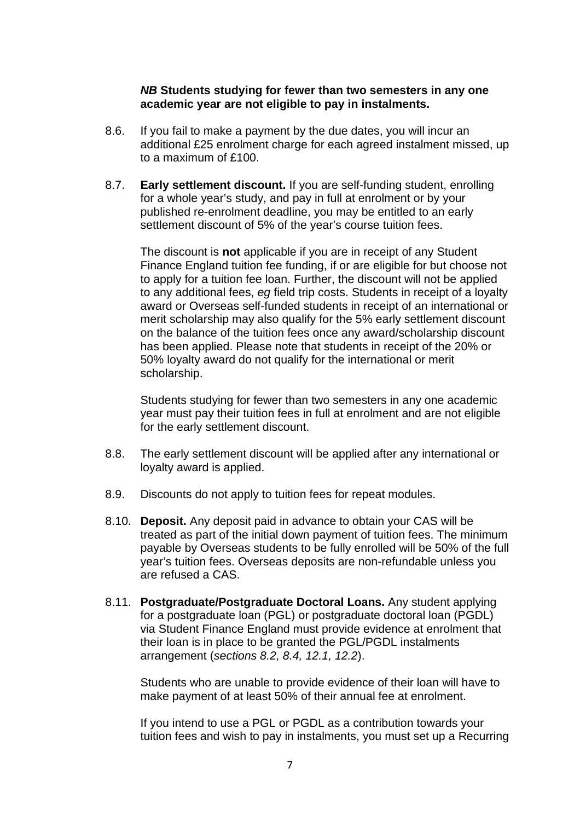#### *NB* **Students studying for fewer than two semesters in any one academic year are not eligible to pay in instalments.**

- 8.6. If you fail to make a payment by the due dates, you will incur an additional £25 enrolment charge for each agreed instalment missed, up to a maximum of £100.
- 8.7. **Early settlement discount.** If you are self-funding student, enrolling for a whole year's study, and pay in full at enrolment or by your published re-enrolment deadline, you may be entitled to an early settlement discount of 5% of the year's course tuition fees.

The discount is **not** applicable if you are in receipt of any Student Finance England tuition fee funding, if or are eligible for but choose not to apply for a tuition fee loan. Further, the discount will not be applied to any additional fees, *eg* field trip costs. Students in receipt of a loyalty award or Overseas self-funded students in receipt of an international or merit scholarship may also qualify for the 5% early settlement discount on the balance of the tuition fees once any award/scholarship discount has been applied. Please note that students in receipt of the 20% or 50% loyalty award do not qualify for the international or merit scholarship.

Students studying for fewer than two semesters in any one academic year must pay their tuition fees in full at enrolment and are not eligible for the early settlement discount.

- 8.8. The early settlement discount will be applied after any international or loyalty award is applied.
- 8.9. Discounts do not apply to tuition fees for repeat modules.
- 8.10. **Deposit.** Any deposit paid in advance to obtain your CAS will be treated as part of the initial down payment of tuition fees. The minimum payable by Overseas students to be fully enrolled will be 50% of the full year's tuition fees. Overseas deposits are non-refundable unless you are refused a CAS.
- 8.11. **Postgraduate/Postgraduate Doctoral Loans.** Any student applying for a postgraduate loan (PGL) or postgraduate doctoral loan (PGDL) via Student Finance England must provide evidence at enrolment that their loan is in place to be granted the PGL/PGDL instalments arrangement (*sections 8.2, 8.4, 12.1, 12.2*).

Students who are unable to provide evidence of their loan will have to make payment of at least 50% of their annual fee at enrolment.

If you intend to use a PGL or PGDL as a contribution towards your tuition fees and wish to pay in instalments, you must set up a Recurring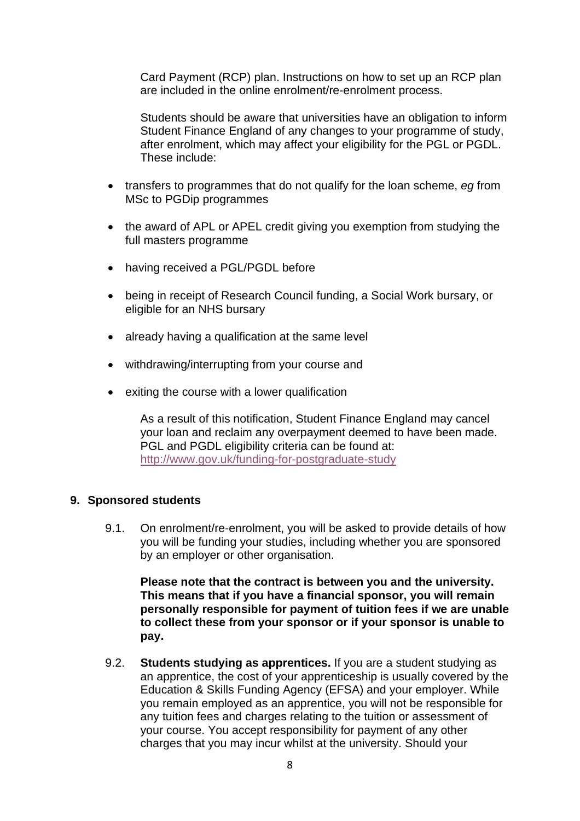Card Payment (RCP) plan. Instructions on how to set up an RCP plan are included in the online enrolment/re-enrolment process.

Students should be aware that universities have an obligation to inform Student Finance England of any changes to your programme of study, after enrolment, which may affect your eligibility for the PGL or PGDL. These include:

- transfers to programmes that do not qualify for the loan scheme, *eg* from MSc to PGDip programmes
- the award of APL or APEL credit giving you exemption from studying the full masters programme
- having received a PGL/PGDL before
- being in receipt of Research Council funding, a Social Work bursary, or eligible for an NHS bursary
- already having a qualification at the same level
- withdrawing/interrupting from your course and
- exiting the course with a lower qualification

As a result of this notification, Student Finance England may cancel your loan and reclaim any overpayment deemed to have been made. PGL and PGDL eligibility criteria can be found at: <http://www.gov.uk/funding-for-postgraduate-study>

#### <span id="page-9-0"></span>**9. Sponsored students**

9.1. On enrolment/re-enrolment, you will be asked to provide details of how you will be funding your studies, including whether you are sponsored by an employer or other organisation.

**Please note that the contract is between you and the university. This means that if you have a financial sponsor, you will remain personally responsible for payment of tuition fees if we are unable to collect these from your sponsor or if your sponsor is unable to pay.** 

9.2. **Students studying as apprentices.** If you are a student studying as an apprentice, the cost of your apprenticeship is usually covered by the Education & Skills Funding Agency (EFSA) and your employer. While you remain employed as an apprentice, you will not be responsible for any tuition fees and charges relating to the tuition or assessment of your course. You accept responsibility for payment of any other charges that you may incur whilst at the university. Should your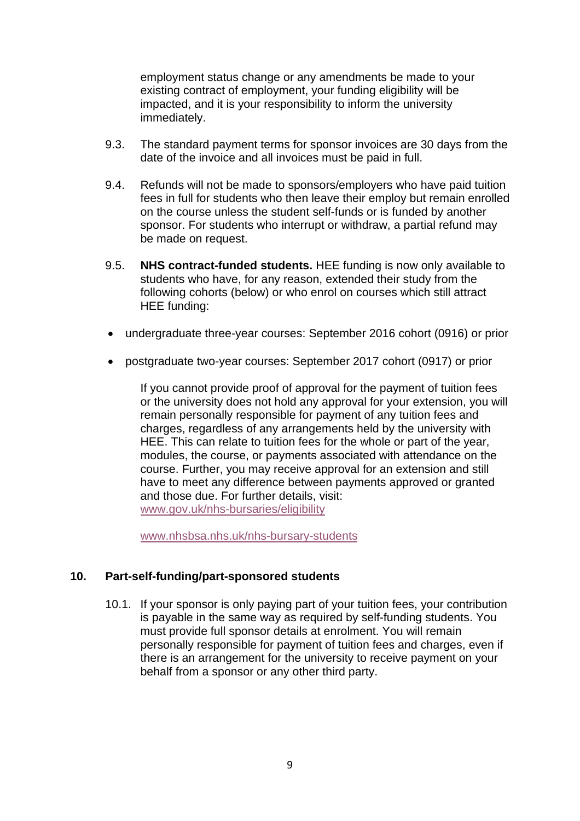employment status change or any amendments be made to your existing contract of employment, your funding eligibility will be impacted, and it is your responsibility to inform the university immediately.

- 9.3. The standard payment terms for sponsor invoices are 30 days from the date of the invoice and all invoices must be paid in full.
- 9.4. Refunds will not be made to sponsors/employers who have paid tuition fees in full for students who then leave their employ but remain enrolled on the course unless the student self-funds or is funded by another sponsor. For students who interrupt or withdraw, a partial refund may be made on request.
- 9.5. **NHS contract-funded students.** HEE funding is now only available to students who have, for any reason, extended their study from the following cohorts (below) or who enrol on courses which still attract HEE funding:
- undergraduate three-year courses: September 2016 cohort (0916) or prior
- postgraduate two-year courses: September 2017 cohort (0917) or prior

If you cannot provide proof of approval for the payment of tuition fees or the university does not hold any approval for your extension, you will remain personally responsible for payment of any tuition fees and charges, regardless of any arrangements held by the university with HEE. This can relate to tuition fees for the whole or part of the year, modules, the course, or payments associated with attendance on the course. Further, you may receive approval for an extension and still have to meet any difference between payments approved or granted and those due. For further details, visit: [www.gov.uk/nhs-bursaries/eligibility](http://www.gov.uk/nhs-bursaries/eligibility)

[www.nhsbsa.nhs.uk/nhs-bursary-students](http://www.nhsbsa.nhs.uk/nhs-bursary-students)

#### **10. Part-self-funding/part-sponsored students**

<span id="page-10-0"></span>10.1. If your sponsor is only paying part of your tuition fees, your contribution is payable in the same way as required by self-funding students. You must provide full sponsor details at enrolment. You will remain personally responsible for payment of tuition fees and charges, even if there is an arrangement for the university to receive payment on your behalf from a sponsor or any other third party.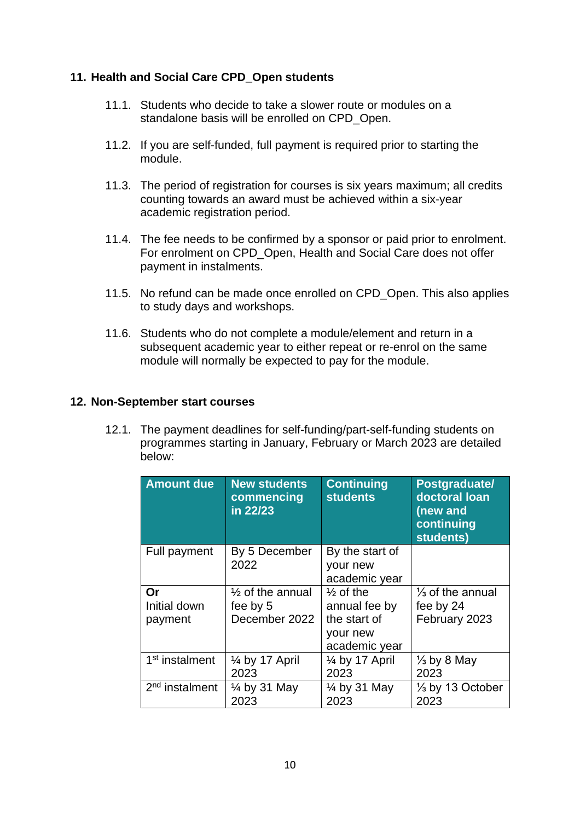#### <span id="page-11-0"></span>**11. Health and Social Care CPD\_Open students**

- 11.1. Students who decide to take a slower route or modules on a standalone basis will be enrolled on CPD Open.
- 11.2. If you are self-funded, full payment is required prior to starting the module.
- 11.3. The period of registration for courses is six years maximum; all credits counting towards an award must be achieved within a six-year academic registration period.
- 11.4. The fee needs to be confirmed by a sponsor or paid prior to enrolment. For enrolment on CPD\_Open, Health and Social Care does not offer payment in instalments.
- 11.5. No refund can be made once enrolled on CPD\_Open. This also applies to study days and workshops.
- 11.6. Students who do not complete a module/element and return in a subsequent academic year to either repeat or re-enrol on the same module will normally be expected to pay for the module.

#### <span id="page-11-1"></span>**12. Non-September start courses**

12.1. The payment deadlines for self-funding/part-self-funding students on programmes starting in January, February or March 2023 are detailed below:

| <b>Amount due</b>             | <b>New students</b><br>commencing<br>in 22/23            | <b>Continuing</b><br><b>students</b>                                               | Postgraduate/<br>doctoral loan<br>(new and<br>continuing<br>students) |
|-------------------------------|----------------------------------------------------------|------------------------------------------------------------------------------------|-----------------------------------------------------------------------|
| Full payment                  | By 5 December                                            | By the start of                                                                    |                                                                       |
|                               | 2022                                                     | your new<br>academic year                                                          |                                                                       |
| Or<br>Initial down<br>payment | $\frac{1}{2}$ of the annual<br>fee by 5<br>December 2022 | $\frac{1}{2}$ of the<br>annual fee by<br>the start of<br>your new<br>academic year | $\frac{1}{3}$ of the annual<br>fee by 24<br>February 2023             |
| 1 <sup>st</sup> instalment    | $\frac{1}{4}$ by 17 April<br>2023                        | $\frac{1}{4}$ by 17 April<br>2023                                                  | $\frac{1}{3}$ by 8 May<br>2023                                        |
| 2 <sup>nd</sup> instalment    | $\frac{1}{4}$ by 31 May<br>2023                          | $\frac{1}{4}$ by 31 May<br>2023                                                    | $\frac{1}{3}$ by 13 October<br>2023                                   |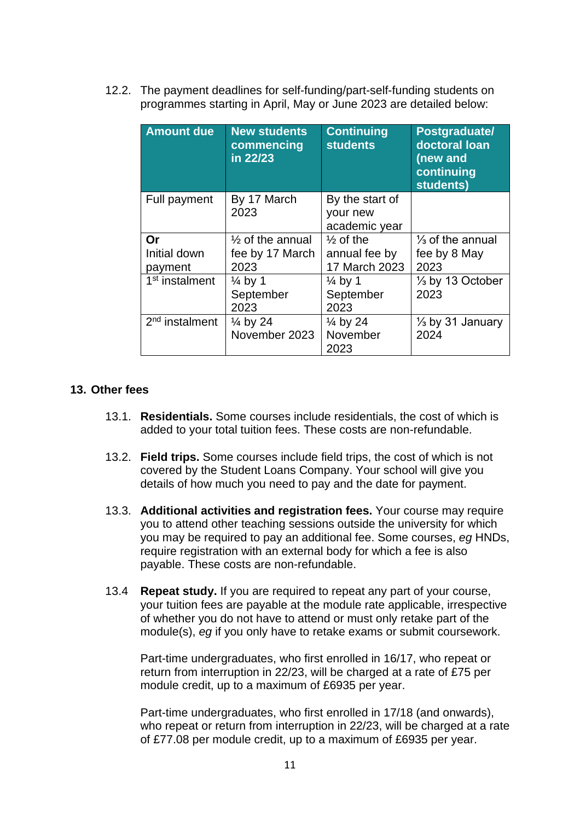12.2. The payment deadlines for self-funding/part-self-funding students on programmes starting in April, May or June 2023 are detailed below:

| <b>Amount due</b>          | <b>New students</b><br>commencing<br>in 22/23 | <b>Continuing</b><br><b>students</b> | Postgraduate/<br>doctoral loan<br>(new and<br>continuing<br>students) |
|----------------------------|-----------------------------------------------|--------------------------------------|-----------------------------------------------------------------------|
| Full payment               | By 17 March                                   | By the start of                      |                                                                       |
|                            | 2023                                          | your new<br>academic year            |                                                                       |
| Or                         | $\frac{1}{2}$ of the annual                   | $\frac{1}{2}$ of the                 | $\frac{1}{3}$ of the annual                                           |
| Initial down               | fee by 17 March                               | annual fee by                        | fee by 8 May                                                          |
| payment                    | 2023                                          | 17 March 2023                        | 2023                                                                  |
| 1 <sup>st</sup> instalment | $\frac{1}{4}$ by 1                            | $\frac{1}{4}$ by 1                   | $\frac{1}{3}$ by 13 October                                           |
|                            | September                                     | September                            | 2023                                                                  |
|                            | 2023                                          | 2023                                 |                                                                       |
| 2 <sup>nd</sup> instalment | $\frac{1}{4}$ by 24                           | $\frac{1}{4}$ by 24                  | $\frac{1}{3}$ by 31 January                                           |
|                            | November 2023                                 | November                             | 2024                                                                  |
|                            |                                               | 2023                                 |                                                                       |

#### <span id="page-12-0"></span>**13. Other fees**

- 13.1. **Residentials.** Some courses include residentials, the cost of which is added to your total tuition fees. These costs are non-refundable.
- 13.2. **Field trips.** Some courses include field trips, the cost of which is not covered by the Student Loans Company. Your school will give you details of how much you need to pay and the date for payment.
- 13.3. **Additional activities and registration fees.** Your course may require you to attend other teaching sessions outside the university for which you may be required to pay an additional fee. Some courses, *eg* HNDs, require registration with an external body for which a fee is also payable. These costs are non-refundable.
- 13.4 **Repeat study.** If you are required to repeat any part of your course, your tuition fees are payable at the module rate applicable, irrespective of whether you do not have to attend or must only retake part of the module(s), *eg* if you only have to retake exams or submit coursework.

Part-time undergraduates, who first enrolled in 16/17, who repeat or return from interruption in 22/23, will be charged at a rate of £75 per module credit, up to a maximum of £6935 per year.

Part-time undergraduates, who first enrolled in 17/18 (and onwards), who repeat or return from interruption in 22/23, will be charged at a rate of £77.08 per module credit, up to a maximum of £6935 per year.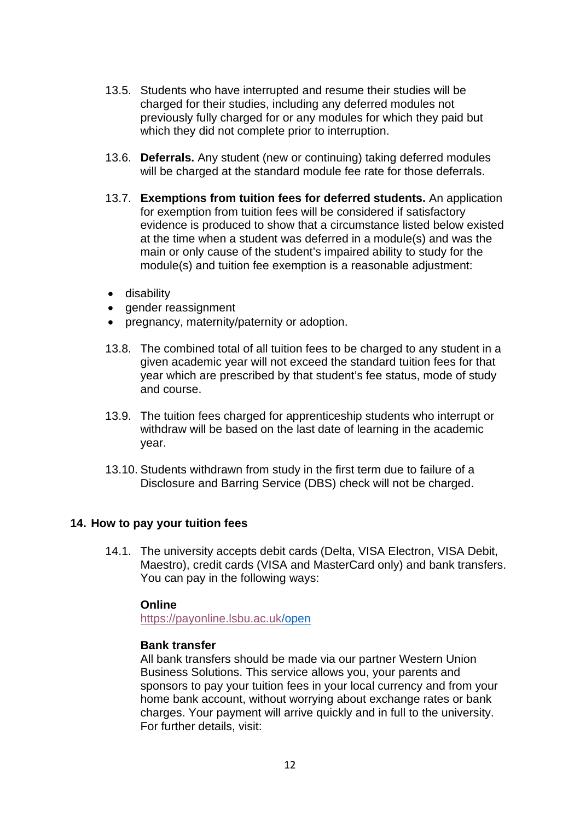- 13.5. Students who have interrupted and resume their studies will be charged for their studies, including any deferred modules not previously fully charged for or any modules for which they paid but which they did not complete prior to interruption.
- 13.6. **Deferrals.** Any student (new or continuing) taking deferred modules will be charged at the standard module fee rate for those deferrals.
- 13.7. **Exemptions from tuition fees for deferred students.** An application for exemption from tuition fees will be considered if satisfactory evidence is produced to show that a circumstance listed below existed at the time when a student was deferred in a module(s) and was the main or only cause of the student's impaired ability to study for the module(s) and tuition fee exemption is a reasonable adjustment:
- disability
- gender reassignment
- pregnancy, maternity/paternity or adoption.
- 13.8. The combined total of all tuition fees to be charged to any student in a given academic year will not exceed the standard tuition fees for that year which are prescribed by that student's fee status, mode of study and course.
- 13.9. The tuition fees charged for apprenticeship students who interrupt or withdraw will be based on the last date of learning in the academic year.
- 13.10. Students withdrawn from study in the first term due to failure of a Disclosure and Barring Service (DBS) check will not be charged.

#### <span id="page-13-0"></span>**14. How to pay your tuition fees**

14.1. The university accepts debit cards (Delta, VISA Electron, VISA Debit, Maestro), credit cards (VISA and MasterCard only) and bank transfers. You can pay in the following ways:

#### **Online**

<https://payonline.lsbu.ac.uk/>open

#### **Bank transfer**

All bank transfers should be made via our partner Western Union Business Solutions. This service allows you, your parents and sponsors to pay your tuition fees in your local currency and from your home bank account, without worrying about exchange rates or bank charges. Your payment will arrive quickly and in full to the university. For further details, visit: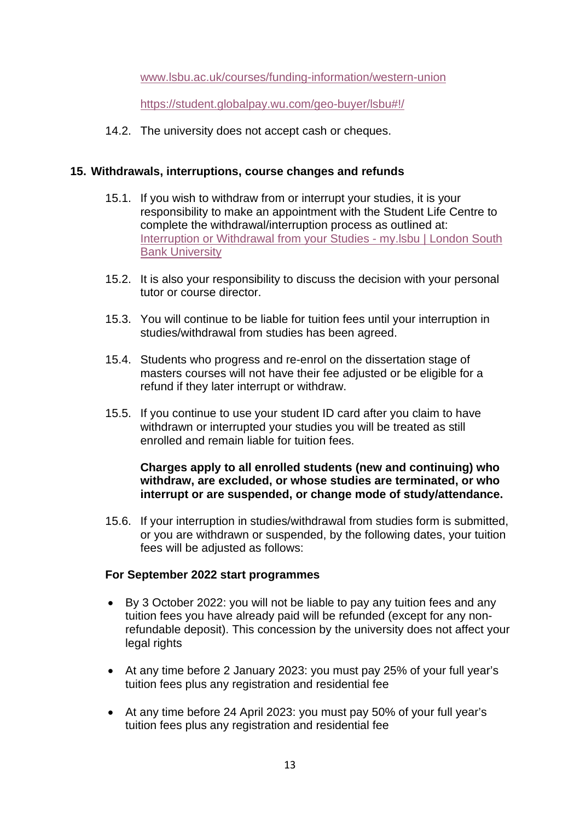[www.lsbu.ac.uk/courses/funding-information/western-union](http://www.lsbu.ac.uk/courses/funding-information/western-union)

<https://student.globalpay.wu.com/geo-buyer/lsbu#!/>

14.2. The university does not accept cash or cheques.

#### <span id="page-14-0"></span>**15. Withdrawals, interruptions, course changes and refunds**

- 15.1. If you wish to withdraw from or interrupt your studies, it is your responsibility to make an appointment with the Student Life Centre to complete the withdrawal/interruption process as outlined at: [Interruption or Withdrawal from your Studies -](https://my.lsbu.ac.uk/my/portal/My-Course/Course-Administration/Interruption-or-Withdrawal-from-your-Studies) my. Isbu | London South [Bank University](https://my.lsbu.ac.uk/my/portal/My-Course/Course-Administration/Interruption-or-Withdrawal-from-your-Studies)
- 15.2. It is also your responsibility to discuss the decision with your personal tutor or course director.
- 15.3. You will continue to be liable for tuition fees until your interruption in studies/withdrawal from studies has been agreed.
- 15.4. Students who progress and re-enrol on the dissertation stage of masters courses will not have their fee adjusted or be eligible for a refund if they later interrupt or withdraw.
- 15.5. If you continue to use your student ID card after you claim to have withdrawn or interrupted your studies you will be treated as still enrolled and remain liable for tuition fees.

#### **Charges apply to all enrolled students (new and continuing) who withdraw, are excluded, or whose studies are terminated, or who interrupt or are suspended, or change mode of study/attendance.**

15.6. If your interruption in studies/withdrawal from studies form is submitted, or you are withdrawn or suspended, by the following dates, your tuition fees will be adjusted as follows:

#### **For September 2022 start programmes**

- By 3 October 2022: you will not be liable to pay any tuition fees and any tuition fees you have already paid will be refunded (except for any nonrefundable deposit). This concession by the university does not affect your legal rights
- At any time before 2 January 2023: you must pay 25% of your full year's tuition fees plus any registration and residential fee
- At any time before 24 April 2023: you must pay 50% of your full year's tuition fees plus any registration and residential fee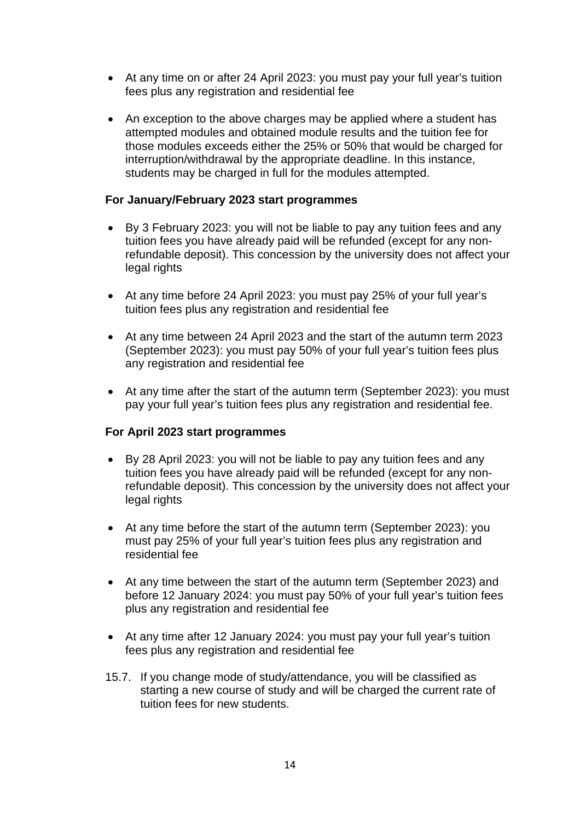- At any time on or after 24 April 2023: you must pay your full year's tuition fees plus any registration and residential fee
- An exception to the above charges may be applied where a student has attempted modules and obtained module results and the tuition fee for those modules exceeds either the 25% or 50% that would be charged for interruption/withdrawal by the appropriate deadline. In this instance, students may be charged in full for the modules attempted.

#### **For January/February 2023 start programmes**

- By 3 February 2023: you will not be liable to pay any tuition fees and any tuition fees you have already paid will be refunded (except for any nonrefundable deposit). This concession by the university does not affect your legal rights
- At any time before 24 April 2023: you must pay 25% of your full year's tuition fees plus any registration and residential fee
- At any time between 24 April 2023 and the start of the autumn term 2023 (September 2023): you must pay 50% of your full year's tuition fees plus any registration and residential fee
- At any time after the start of the autumn term (September 2023): you must pay your full year's tuition fees plus any registration and residential fee.

#### **For April 2023 start programmes**

- By 28 April 2023: you will not be liable to pay any tuition fees and any tuition fees you have already paid will be refunded (except for any nonrefundable deposit). This concession by the university does not affect your legal rights
- At any time before the start of the autumn term (September 2023): you must pay 25% of your full year's tuition fees plus any registration and residential fee
- At any time between the start of the autumn term (September 2023) and before 12 January 2024: you must pay 50% of your full year's tuition fees plus any registration and residential fee
- At any time after 12 January 2024: you must pay your full year's tuition fees plus any registration and residential fee
- 15.7. If you change mode of study/attendance, you will be classified as starting a new course of study and will be charged the current rate of tuition fees for new students.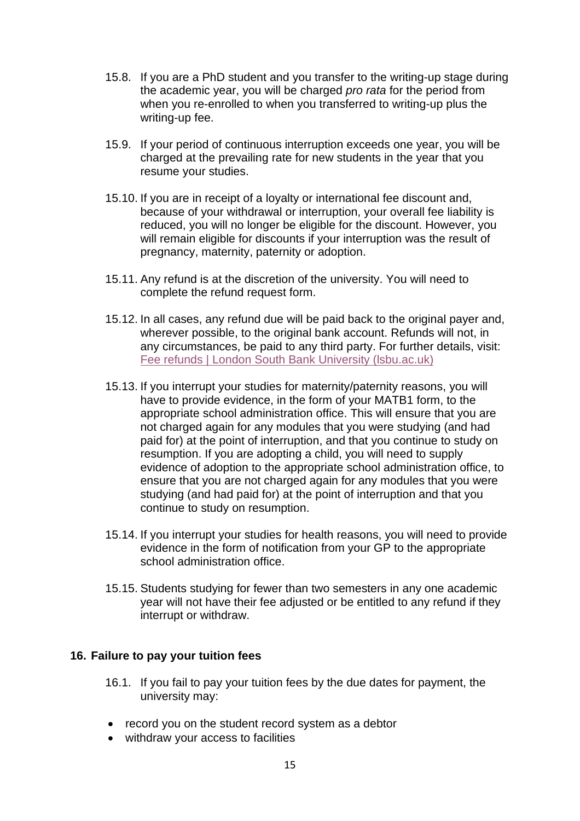- 15.8. If you are a PhD student and you transfer to the writing-up stage during the academic year, you will be charged *pro rata* for the period from when you re-enrolled to when you transferred to writing-up plus the writing-up fee.
- 15.9. If your period of continuous interruption exceeds one year, you will be charged at the prevailing rate for new students in the year that you resume your studies.
- 15.10. If you are in receipt of a loyalty or international fee discount and, because of your withdrawal or interruption, your overall fee liability is reduced, you will no longer be eligible for the discount. However, you will remain eligible for discounts if your interruption was the result of pregnancy, maternity, paternity or adoption.
- 15.11. Any refund is at the discretion of the university. You will need to complete the refund request form.
- 15.12. In all cases, any refund due will be paid back to the original payer and, wherever possible, to the original bank account. Refunds will not, in any circumstances, be paid to any third party. For further details, visit: [Fee refunds | London South Bank University \(lsbu.ac.uk\)](https://www.lsbu.ac.uk/international/fees-and-funding/fee-refund)
- 15.13. If you interrupt your studies for maternity/paternity reasons, you will have to provide evidence, in the form of your MATB1 form, to the appropriate school administration office. This will ensure that you are not charged again for any modules that you were studying (and had paid for) at the point of interruption, and that you continue to study on resumption. If you are adopting a child, you will need to supply evidence of adoption to the appropriate school administration office, to ensure that you are not charged again for any modules that you were studying (and had paid for) at the point of interruption and that you continue to study on resumption.
- 15.14. If you interrupt your studies for health reasons, you will need to provide evidence in the form of notification from your GP to the appropriate school administration office.
- 15.15. Students studying for fewer than two semesters in any one academic year will not have their fee adjusted or be entitled to any refund if they interrupt or withdraw.

#### <span id="page-16-0"></span>**16. Failure to pay your tuition fees**

- 16.1. If you fail to pay your tuition fees by the due dates for payment, the university may:
- record you on the student record system as a debtor
- withdraw your access to facilities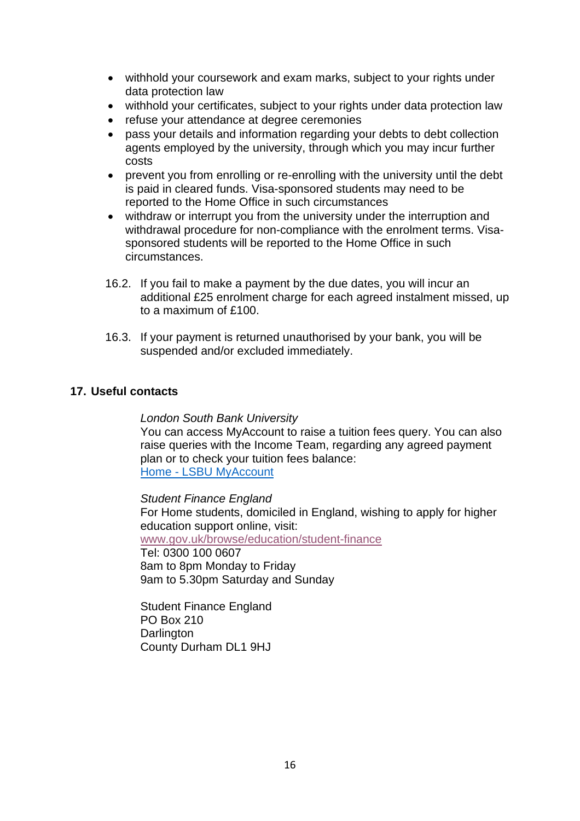- withhold your coursework and exam marks, subject to your rights under data protection law
- withhold your certificates, subject to your rights under data protection law
- refuse your attendance at degree ceremonies
- pass your details and information regarding your debts to debt collection agents employed by the university, through which you may incur further costs
- prevent you from enrolling or re-enrolling with the university until the debt is paid in cleared funds. Visa-sponsored students may need to be reported to the Home Office in such circumstances
- withdraw or interrupt you from the university under the interruption and withdrawal procedure for non-compliance with the enrolment terms. Visasponsored students will be reported to the Home Office in such circumstances.
- 16.2. If you fail to make a payment by the due dates, you will incur an additional £25 enrolment charge for each agreed instalment missed, up to a maximum of £100.
- 16.3. If your payment is returned unauthorised by your bank, you will be suspended and/or excluded immediately.

#### <span id="page-17-0"></span>**17. Useful contacts**

#### *London South Bank University*

You can access MyAccount to raise a tuition fees query. You can also raise queries with the Income Team, regarding any agreed payment plan or to check your tuition fees balance: Home - [LSBU MyAccount](https://myaccount.lsbu.ac.uk/s/)

*Student Finance England*

For Home students, domiciled in England, wishing to apply for higher education support online, visit:

[www.gov.uk/browse/education/student-finance](http://www.gov.uk/browse/education/student-finance)

Tel: 0300 100 0607 8am to 8pm Monday to Friday 9am to 5.30pm Saturday and Sunday

Student Finance England PO Box 210 **Darlington** County Durham DL1 9HJ